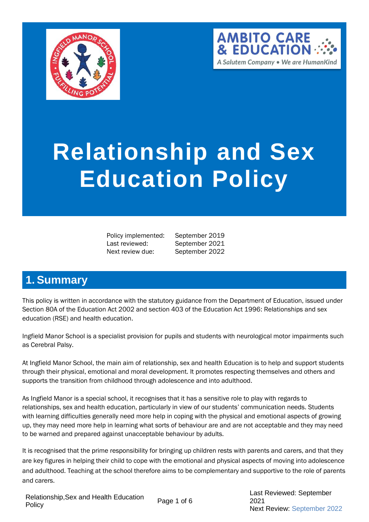



# **Relationship and Sex Education Policy**

Policy implemented: September 2019 Last reviewed: September 2021 Next review due: September 2022

# <span id="page-0-0"></span>**1. Summary**

This policy is written in accordance with the statutory guidance from the Department of Education, issued under Section 80A of the Education Act 2002 and section 403 of the Education Act 1996: Relationships and sex education (RSE) and health education.

Ingfield Manor School is a specialist provision for pupils and students with neurological motor impairments such as Cerebral Palsy.

At Ingfield Manor School, the main aim of relationship, sex and health Education is to help and support students through their physical, emotional and moral development. It promotes respecting themselves and others and supports the transition from childhood through adolescence and into adulthood.

As Ingfield Manor is a special school, it recognises that it has a sensitive role to play with regards to relationships, sex and health education, particularly in view of our students' communication needs. Students with learning difficulties generally need more help in coping with the physical and emotional aspects of growing up, they may need more help in learning what sorts of behaviour are and are not acceptable and they may need to be warned and prepared against unacceptable behaviour by adults.

It is recognised that the prime responsibility for bringing up children rests with parents and carers, and that they are key figures in helping their child to cope with the emotional and physical aspects of moving into adolescence and adulthood. Teaching at the school therefore aims to be complementary and supportive to the role of parents and carers.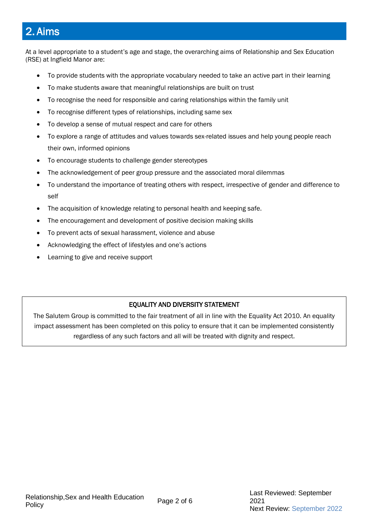# 2. Aims

At a level appropriate to a student's age and stage, the overarching aims of Relationship and Sex Education (RSE) at Ingfield Manor are:

- To provide students with the appropriate vocabulary needed to take an active part in their learning
- To make students aware that meaningful relationships are built on trust
- To recognise the need for responsible and caring relationships within the family unit
- To recognise different types of relationships, including same sex
- To develop a sense of mutual respect and care for others
- To explore a range of attitudes and values towards sex-related issues and help young people reach their own, informed opinions
- To encourage students to challenge gender stereotypes
- The acknowledgement of peer group pressure and the associated moral dilemmas
- To understand the importance of treating others with respect, irrespective of gender and difference to self
- The acquisition of knowledge relating to personal health and keeping safe.
- The encouragement and development of positive decision making skills
- To prevent acts of sexual harassment, violence and abuse
- Acknowledging the effect of lifestyles and one's actions
- Learning to give and receive support

#### EQUALITY AND DIVERSITY STATEMENT

The Salutem Group is committed to the fair treatment of all in line with the Equality Act 2010. An equality impact assessment has been completed on this policy to ensure that it can be implemented consistently regardless of any such factors and all will be treated with dignity and respect.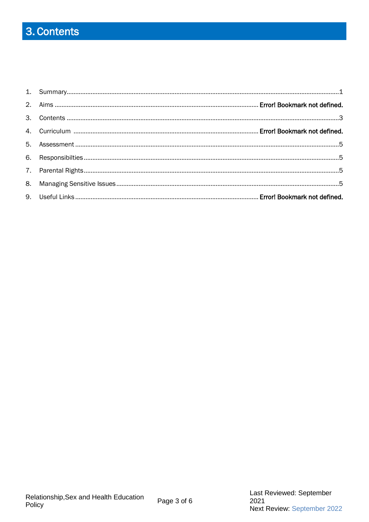# <span id="page-2-0"></span>3. Contents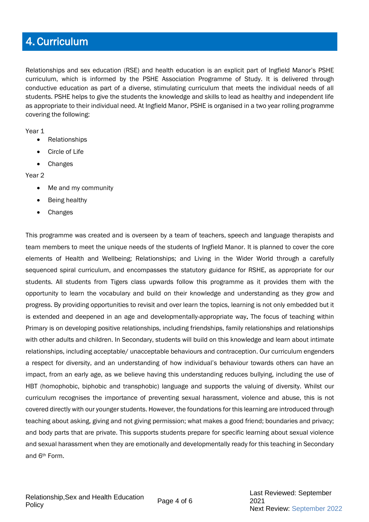## 4. Curriculum

Relationships and sex education (RSE) and health education is an explicit part of Ingfield Manor's PSHE curriculum, which is informed by the PSHE Association Programme of Study. It is delivered through conductive education as part of a diverse, stimulating curriculum that meets the individual needs of all students. PSHE helps to give the students the knowledge and skills to lead as healthy and independent life as appropriate to their individual need. At Ingfield Manor, PSHE is organised in a two year rolling programme covering the following:

Year 1

- Relationships
- Circle of Life
- Changes

Year 2

- Me and my community
- Being healthy
- Changes

This programme was created and is overseen by a team of teachers, speech and language therapists and team members to meet the unique needs of the students of Ingfield Manor. It is planned to cover the core elements of Health and Wellbeing; Relationships; and Living in the Wider World through a carefully sequenced spiral curriculum, and encompasses the statutory guidance for RSHE, as appropriate for our students. All students from Tigers class upwards follow this programme as it provides them with the opportunity to learn the vocabulary and build on their knowledge and understanding as they grow and progress. By providing opportunities to revisit and over learn the topics, learning is not only embedded but it is extended and deepened in an age and developmentally-appropriate way. The focus of teaching within Primary is on developing positive relationships, including friendships, family relationships and relationships with other adults and children. In Secondary, students will build on this knowledge and learn about intimate relationships, including acceptable/ unacceptable behaviours and contraception. Our curriculum engenders a respect for diversity, and an understanding of how individual's behaviour towards others can have an impact, from an early age, as we believe having this understanding reduces bullying, including the use of HBT (homophobic, biphobic and transphobic) language and supports the valuing of diversity. Whilst our curriculum recognises the importance of preventing sexual harassment, violence and abuse, this is not covered directly with our younger students. However, the foundations for this learning are introduced through teaching about asking, giving and not giving permission; what makes a good friend; boundaries and privacy; and body parts that are private. This supports students prepare for specific learning about sexual violence and sexual harassment when they are emotionally and developmentally ready for this teaching in Secondary and 6th Form.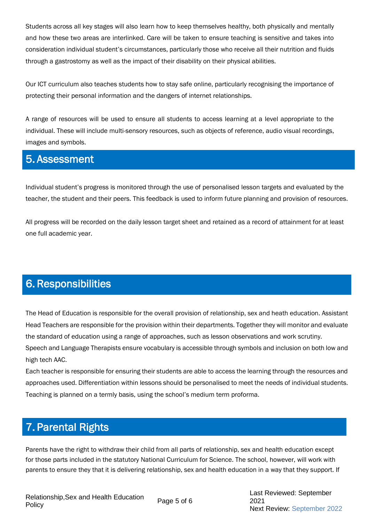Students across all key stages will also learn how to keep themselves healthy, both physically and mentally and how these two areas are interlinked. Care will be taken to ensure teaching is sensitive and takes into consideration individual student's circumstances, particularly those who receive all their nutrition and fluids through a gastrostomy as well as the impact of their disability on their physical abilities.

Our ICT curriculum also teaches students how to stay safe online, particularly recognising the importance of protecting their personal information and the dangers of internet relationships.

A range of resources will be used to ensure all students to access learning at a level appropriate to the individual. These will include multi-sensory resources, such as objects of reference, audio visual recordings, images and symbols.

### 5. Assessment

Individual student's progress is monitored through the use of personalised lesson targets and evaluated by the teacher, the student and their peers. This feedback is used to inform future planning and provision of resources.

All progress will be recorded on the daily lesson target sheet and retained as a record of attainment for at least one full academic year.

# 6. Responsibilities

The Head of Education is responsible for the overall provision of relationship, sex and heath education. Assistant Head Teachers are responsible for the provision within their departments. Together they will monitor and evaluate the standard of education using a range of approaches, such as lesson observations and work scrutiny. Speech and Language Therapists ensure vocabulary is accessible through symbols and inclusion on both low and high tech AAC.

Each teacher is responsible for ensuring their students are able to access the learning through the resources and approaches used. Differentiation within lessons should be personalised to meet the needs of individual students. Teaching is planned on a termly basis, using the school's medium term proforma.

# 7. Parental Rights

Parents have the right to withdraw their child from all parts of relationship, sex and health education except for those parts included in the statutory National Curriculum for Science. The school, however, will work with parents to ensure they that it is delivering relationship, sex and health education in a way that they support. If